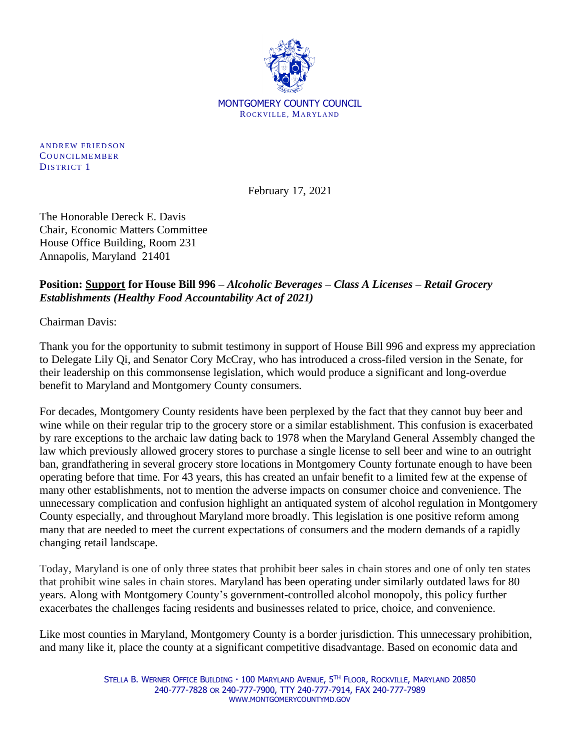

**ANDREW FRIEDSON** COUNCILMEMBER DISTRICT 1

February 17, 2021

The Honorable Dereck E. Davis Chair, Economic Matters Committee House Office Building, Room 231 Annapolis, Maryland 21401

## **Position: Support for House Bill 996 –** *Alcoholic Beverages – Class A Licenses – Retail Grocery Establishments (Healthy Food Accountability Act of 2021)*

Chairman Davis:

Thank you for the opportunity to submit testimony in support of House Bill 996 and express my appreciation to Delegate Lily Qi, and Senator Cory McCray, who has introduced a cross-filed version in the Senate, for their leadership on this commonsense legislation, which would produce a significant and long-overdue benefit to Maryland and Montgomery County consumers.

For decades, Montgomery County residents have been perplexed by the fact that they cannot buy beer and wine while on their regular trip to the grocery store or a similar establishment. This confusion is exacerbated by rare exceptions to the archaic law dating back to 1978 when the Maryland General Assembly changed the law which previously allowed grocery stores to purchase a single license to sell beer and wine to an outright ban, grandfathering in several grocery store locations in Montgomery County fortunate enough to have been operating before that time. For 43 years, this has created an unfair benefit to a limited few at the expense of many other establishments, not to mention the adverse impacts on consumer choice and convenience. The unnecessary complication and confusion highlight an antiquated system of alcohol regulation in Montgomery County especially, and throughout Maryland more broadly. This legislation is one positive reform among many that are needed to meet the current expectations of consumers and the modern demands of a rapidly changing retail landscape.

Today, Maryland is one of only three states that prohibit beer sales in chain stores and one of only ten states that prohibit wine sales in chain stores. Maryland has been operating under similarly outdated laws for 80 years. Along with Montgomery County's government-controlled alcohol monopoly, this policy further exacerbates the challenges facing residents and businesses related to price, choice, and convenience.

Like most counties in Maryland, Montgomery County is a border jurisdiction. This unnecessary prohibition, and many like it, place the county at a significant competitive disadvantage. Based on economic data and